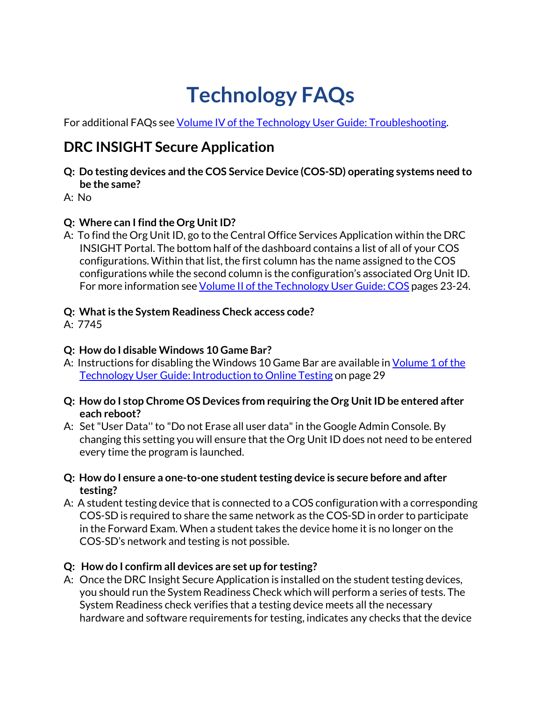# **Technology FAQs**

For additional FAQs se[e Volume IV of the](https://dpi.wi.gov/assessment/forward/technology) [Technology User Guide: Troubleshooting.](https://dpi.wi.gov/assessment/forward/technology)

# **DRC INSIGHT Secure Application**

- **Q: Do testing devices and the COS Service Device (COS-SD) operating systems need to be the same?**
- A: No

# **Q: Where can I find the Org Unit ID?**

A: To find the Org Unit ID, go to the Central Office Services Application within the DRC INSIGHT Portal. The bottom half of the dashboard contains a list of all of your COS configurations. Within that list, the first column has the name assigned to the COS configurations while the second column is the configuration's associated Org Unit ID. For more information see [Volume II of the Technology User Guide: COS](https://dpi.wi.gov/assessment/forward/technology) pages 23-24.

### **Q: What is the System Readiness Check access code?**

A: 7745

#### **Q: How do I disable Windows 10 Game Bar?**

- A: Instructions for disabling the Windows 10 Game Bar are available in [Volume 1 of the](https://dpi.wi.gov/assessment/forward/technology)  [Technology User Guide: Introduction to Online Testing](https://dpi.wi.gov/assessment/forward/technology) on page 29
- **Q: How do I stop Chrome OS Devices from requiring the Org Unit ID be entered after each reboot?**
- A: Set "User Data'' to "Do not Erase all user data" in the Google Admin Console. By changing this setting you will ensure that the Org Unit ID does not need to be entered every time the program is launched.
- **Q: How do I ensure a one-to-one student testing device is secure before and after testing?**
- A: A student testing device that is connected to a COS configuration with a corresponding COS-SD is required to share the same network as the COS-SD in order to participate in the Forward Exam. When a student takes the device home it is no longer on the COS-SD's network and testing is not possible.

#### **Q: How do I confirm all devices are set up for testing?**

A: Once the DRC Insight Secure Application is installed on the student testing devices, you should run the System Readiness Check which will perform a series of tests. The System Readiness check verifies that a testing device meets all the necessary hardware and software requirements for testing, indicates any checks that the device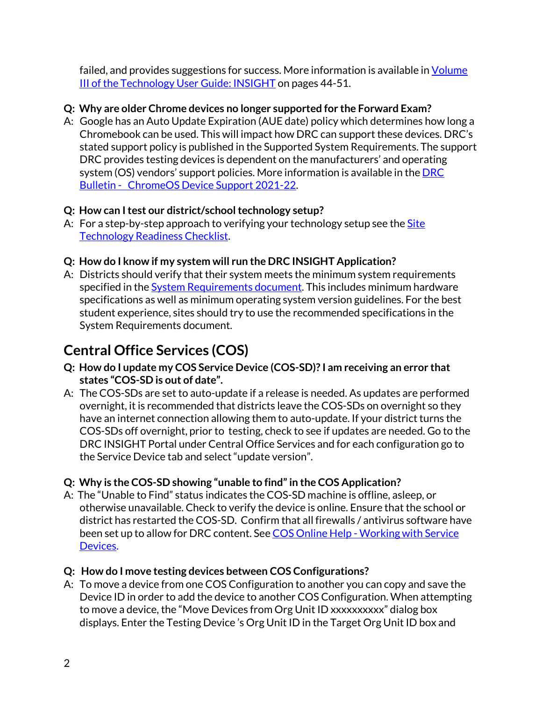failed, and provides suggestions for success. More information is available in Volume [III of the Technology User Guide: INSIGHT](https://dpi.wi.gov/assessment/forward/technology) on pages 44-51.

#### **Q: Why are older Chrome devices no longer supported for the Forward Exam?**

A: Google has an Auto Update Expiration (AUE date) policy which determines how long a Chromebook can be used. This will impact how DRC can support these devices. DRC's stated support policy is published in the Supported System Requirements. The support DRC provides testing devices is dependent on the manufacturers' and operating system (OS) vendors' support policies. More information is available in the [DRC](https://dpi.wi.gov/assessment/forward/technology)  [Bulletin - ChromeOS Device Support 2021-22.](https://dpi.wi.gov/assessment/forward/technology)

#### **Q: How can I test our district/school technology setup?**

- A: For a step-by-step approach to verifying your technology setup see the **Site** [Technology Readiness Checklist.](https://dpi.wi.gov/assessment/forward/technology)
- **Q: How do I know if my system will run the DRC INSIGHT Application?**
- A: Districts should verify that their system meets the minimum system requirements specified in the [System Requirements document.](https://dpi.wi.gov/assessment/forward/technology) This includes minimum hardware specifications as well as minimum operating system version guidelines. For the best student experience, sites should try to use the recommended specifications in the System Requirements document.

# **Central Office Services (COS)**

- **Q: How do I update my COS Service Device (COS-SD)? I am receiving an error that states "COS-SD is out of date".**
- A: The COS-SDs are set to auto-update if a release is needed. As updates are performed overnight, it is recommended that districts leave the COS-SDs on overnight so they have an internet connection allowing them to auto-update. If your district turns the COS-SDs off overnight, prior to testing, check to see if updates are needed. Go to the DRC INSIGHT Portal under Central Office Services and for each configuration go to the Service Device tab and select "update version".

# **Q: Why is the COS-SD showing "unable to find" in the COS Application?**

A: The "Unable to Find" status indicates the COS-SD machine is offline, asleep, or otherwise unavailable. Check to verify the device is online. Ensure that the school or district has restarted the COS-SD. Confirm that all firewalls / antivirus software have been set up to allow for DRC content. See COS Online Help - Working with Service [Devices.](https://assets.drcedirect.com/Common/COS_Online_Help/topic.htm#t=Working_with_Service_Devices.htm)

# **Q: How do I move testing devices between COS Configurations?**

A: To move a device from one COS Configuration to another you can copy and save the Device ID in order to add the device to another COS Configuration. When attempting to move a device, the "Move Devices from Org Unit ID xxxxxxxxxx" dialog box displays. Enter the Testing Device 's Org Unit ID in the Target Org Unit ID box and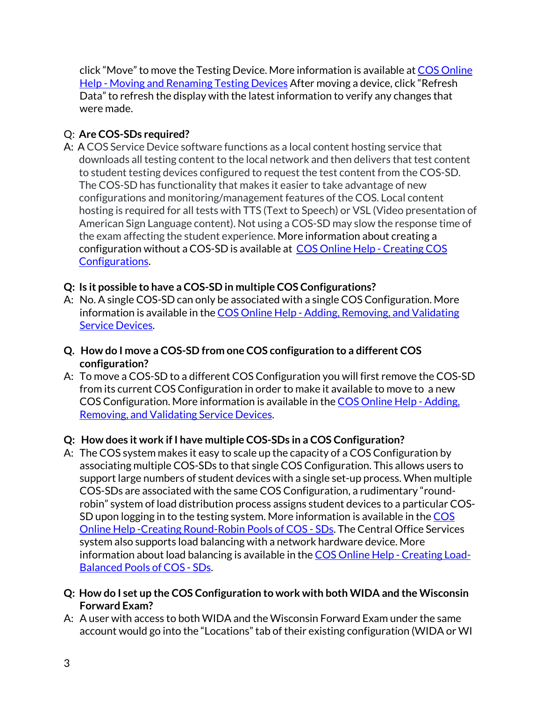click "Move" to move the Testing Device. More information is available at [COS Online](https://assets.drcedirect.com/Common/COS_Online_Help/topic.htm#t=Moving_and_renaming_Testing_Devices.htm)  [Help - Moving and Renaming Testing Devices](https://assets.drcedirect.com/Common/COS_Online_Help/topic.htm#t=Moving_and_renaming_Testing_Devices.htm) After moving a device, click "Refresh Data" to refresh the display with the latest information to verify any changes that were made.

#### Q: **Are COS-SDs required?**

A: A COS Service Device software functions as a local content hosting service that downloads all testing content to the local network and then delivers that test content to student testing devices configured to request the test content from the COS-SD. The COS-SD has functionality that makes it easier to take advantage of new configurations and monitoring/management features of the COS. Local content hosting is required for all tests with TTS (Text to Speech) or VSL (Video presentation of American Sign Language content). Not using a COS-SD may slow the response time of the exam affecting the student experience. More information about creating a configuration without a COS-SD is available at COS Online Help - Creating COS [Configurations.](https://assets.drcedirect.com/Common/COS_Online_Help/topic.htm#t=Creating_New_COS_Configurations.htm)

#### **Q: Is it possible to have a COS-SD in multiple COS Configurations?**

- A: No. A single COS-SD can only be associated with a single COS Configuration. More information is available in the COS Online Help - Adding, Removing, and Validating [Service Devices.](https://assets.drcedirect.com/Common/COS_Online_Help/topic.htm#t=Adding%2C_Removing%2C_and_Validating_Service_Devices.htm)
- **Q. How do I move a COS-SD from one COS configuration to a different COS configuration?**
- A: To move a COS-SD to a different COS Configuration you will first remove the COS-SD from its current COS Configuration in order to make it available to move to a new COS Configuration. More information is available in th[e COS Online Help - Adding,](https://assets.drcedirect.com/Common/COS_Online_Help/topic.htm#t=Adding%2C_Removing%2C_and_Validating_Service_Devices.htm)  [Removing, and Validating Service Devices.](https://assets.drcedirect.com/Common/COS_Online_Help/topic.htm#t=Adding%2C_Removing%2C_and_Validating_Service_Devices.htm)

#### **Q: How does it work if I have multiple COS-SDs in a COS Configuration?**

- A: The COS system makes it easy to scale up the capacity of a COS Configuration by associating multiple COS-SDs to that single COS Configuration. This allows users to support large numbers of student devices with a single set-up process. When multiple COS-SDs are associated with the same COS Configuration, a rudimentary "roundrobin" system of load distribution process assigns student devices to a particular COS-SD upon logging in to the testing system. More information is available in th[e COS](https://assets.drcedirect.com/Common/COS_Online_Help/topic.htm#t=Creating_Round-Robin_Pools_of_COS_-_SDs.htm)  [Online Help -Creating Round-Robin Pools of COS - SDs.](https://assets.drcedirect.com/Common/COS_Online_Help/topic.htm#t=Creating_Round-Robin_Pools_of_COS_-_SDs.htm) The Central Office Services system also supports load balancing with a network hardware device. More information about load balancing is available in the [COS Online Help - Creating Load-](https://assets.drcedirect.com/Common/COS_Online_Help/topic.htm#t=Creating_Load-Balanced_Pools_of_COS_-_SDs.htm)[Balanced Pools of COS - SDs.](https://assets.drcedirect.com/Common/COS_Online_Help/topic.htm#t=Creating_Load-Balanced_Pools_of_COS_-_SDs.htm)
- **Q: How do I set up the COS Configuration to work with both WIDA and the Wisconsin Forward Exam?**
- A: A user with access to both WIDA and the Wisconsin Forward Exam under the same account would go into the "Locations" tab of their existing configuration (WIDA or WI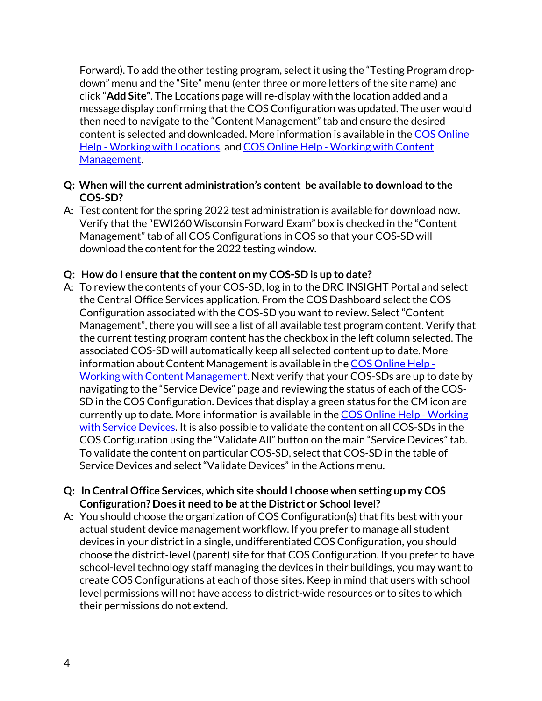Forward). To add the other testing program, select it using the "Testing Program dropdown" menu and the "Site" menu (enter three or more letters of the site name) and click "**Add Site"**. The Locations page will re-display with the location added and a message display confirming that the COS Configuration was updated. The user would then need to navigate to the "Content Management" tab and ensure the desired content is selected and downloaded. More information is available in th[e COS Online](https://assets.drcedirect.com/Common/COS_Online_Help/topic.htm#t=Working_with_Locations.htm)  [Help - Working with Locations,](https://assets.drcedirect.com/Common/COS_Online_Help/topic.htm#t=Working_with_Locations.htm) and [COS Online Help - Working with Content](https://assets.drcedirect.com/Common/COS_Online_Help/topic.htm#t=Working_with_Content_Management.htm)  [Management.](https://assets.drcedirect.com/Common/COS_Online_Help/topic.htm#t=Working_with_Content_Management.htm)

- **Q: When will the current administration's content be available to download to the COS-SD?**
- A: Test content for the spring 2022 test administration is available for download now. Verify that the "EWI260 Wisconsin Forward Exam" box is checked in the "Content Management" tab of all COS Configurations in COS so that your COS-SD will download the content for the 2022 testing window.

#### **Q: How do I ensure that the content on my COS-SD is up to date?**

A: To review the contents of your COS-SD, log in to the DRC INSIGHT Portal and select the Central Office Services application. From the COS Dashboard select the COS Configuration associated with the COS-SD you want to review. Select "Content Management", there you will see a list of all available test program content. Verify that the current testing program content has the checkbox in the left column selected. The associated COS-SD will automatically keep all selected content up to date. More information about Content Management is available in th[e COS Online Help -](https://assets.drcedirect.com/Common/COS_Online_Help/topic.htm#t=Working_with_Content_Management.htm)  [Working with Content Management.](https://assets.drcedirect.com/Common/COS_Online_Help/topic.htm#t=Working_with_Content_Management.htm) Next verify that your COS-SDs are up to date by navigating to the "Service Device" page and reviewing the status of each of the COS-SD in the COS Configuration. Devices that display a green status for the CM icon are currently up to date. More information is available in th[e COS Online Help - Working](https://assets.drcedirect.com/Common/COS_Online_Help/topic.htm#t=Working_with_Service_Devices.htm)  [with Service Devices.](https://assets.drcedirect.com/Common/COS_Online_Help/topic.htm#t=Working_with_Service_Devices.htm) It is also possible to validate the content on all COS-SDs in the COS Configuration using the "Validate All" button on the main "Service Devices" tab. To validate the content on particular COS-SD, select that COS-SD in the table of Service Devices and select "Validate Devices" in the Actions menu.

#### **Q: In Central Office Services, which site should I choose when setting up my COS Configuration? Does it need to be at the District or School level?**

A: You should choose the organization of COS Configuration(s) that fits best with your actual student device management workflow. If you prefer to manage all student devices in your district in a single, undifferentiated COS Configuration, you should choose the district-level (parent) site for that COS Configuration. If you prefer to have school-level technology staff managing the devices in their buildings, you may want to create COS Configurations at each of those sites. Keep in mind that users with school level permissions will not have access to district-wide resources or to sites to which their permissions do not extend.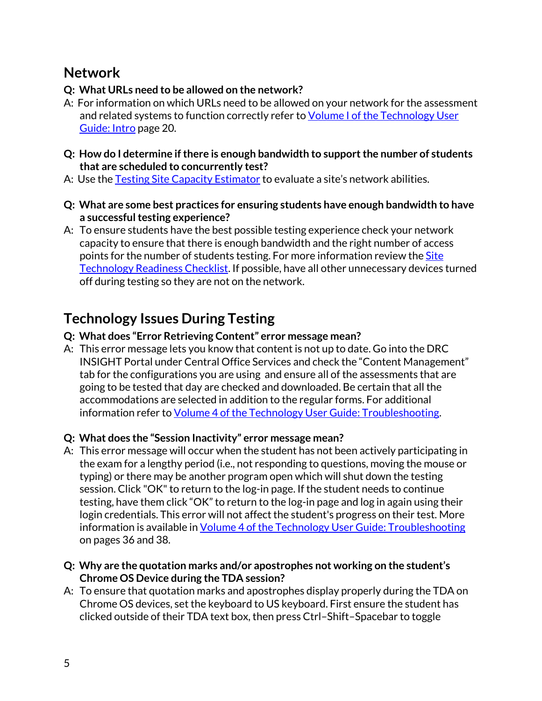# **Network**

# **Q: What URLs need to be allowed on the network?**

- A: For information on which URLs need to be allowed on your network for the assessment and related systems to function correctly refer to [Volume I of the Technology User](https://dpi.wi.gov/assessment/forward/technology)  [Guide: Intro](https://dpi.wi.gov/assessment/forward/technology) page 20.
- **Q: How do I determine if there is enough bandwidth to support the number of students that are scheduled to concurrently test?**
- A: Use the [Testing Site Capacity Estimator](https://dpi.wi.gov/assessment/forward/technology) to evaluate a site's network abilities.
- **Q: What are some best practices for ensuring students have enough bandwidth to have a successful testing experience?**
- A: To ensure students have the best possible testing experience check your network capacity to ensure that there is enough bandwidth and the right number of access points for the number of students testing. For more information review the [Site](https://dpi.wi.gov/assessment/forward/technology)  [Technology Readiness Checklist.](https://dpi.wi.gov/assessment/forward/technology) If possible, have all other unnecessary devices turned off during testing so they are not on the network.

# **Technology Issues During Testing**

### **Q: What does "Error Retrieving Content" error message mean?**

A: This error message lets you know that content is not up to date. Go into the DRC INSIGHT Portal under Central Office Services and check the "Content Management" tab for the configurations you are using and ensure all of the assessments that are going to be tested that day are checked and downloaded. Be certain that all the accommodations are selected in addition to the regular forms. For additional information refer t[o Volume 4 of the Technology User Guide: Troubleshooting.](https://dpi.wi.gov/assessment/forward/technology)

# **Q: What does the "Session Inactivity" error message mean?**

- A: This error message will occur when the student has not been actively participating in the exam for a lengthy period (i.e., not responding to questions, moving the mouse or typing) or there may be another program open which will shut down the testing session. Click "OK" to return to the log-in page. If the student needs to continue testing, have them click "OK" to return to the log-in page and log in again using their login credentials. This error will not affect the student's progress on their test. More information is available in [Volume 4 of the Technology User Guide: Troubleshooting](https://dpi.wi.gov/assessment/forward/technology) on pages 36 and 38.
- **Q: Why are the quotation marks and/or apostrophes not working on the student's Chrome OS Device during the TDA session?**
- A: To ensure that quotation marks and apostrophes display properly during the TDA on Chrome OS devices, set the keyboard to US keyboard. First ensure the student has clicked outside of their TDA text box, then press Ctrl–Shift–Spacebar to toggle